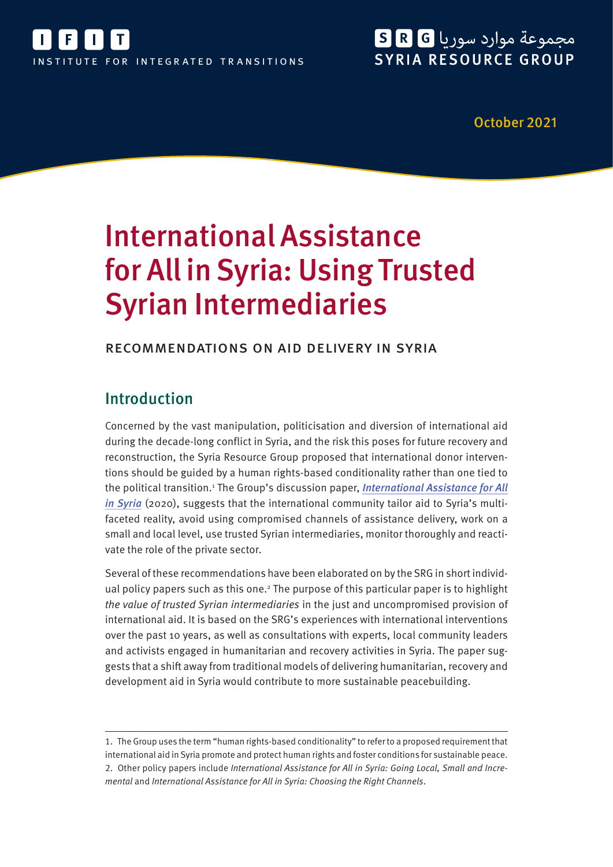

## مجموعة موارد سوريا R G SYRIA RESOURCE GROUP

October 2021

# International Assistance for All in Syria: Using Trusted Syrian Intermediaries

### recommendations on aid delivery in syria

## Introduction

Concerned by the vast manipulation, politicisation and diversion of international aid during the decade-long conflict in Syria, and the risk this poses for future recovery and reconstruction, the Syria Resource Group proposed that international donor interventions should be guided by a human rights-based conditionality rather than one tied to the political transition.<sup>1</sup> The Group's discussion paper, *[International Assistance for All](https://ifit-transitions.org/wp-content/uploads/2021/10/srg-international-assistance-for-all-in-syria.pdf)* [in Syria](https://ifit-transitions.org/wp-content/uploads/2021/10/srg-international-assistance-for-all-in-syria.pdf) (2020), suggests that the international community tailor aid to Syria's multifaceted reality, avoid using compromised channels of assistance delivery, work on a small and local level, use trusted Syrian intermediaries, monitor thoroughly and reactivate the role of the private sector.

Several of these recommendations have been elaborated on by the SRG in short individual policy papers such as this one.<sup>2</sup> The purpose of this particular paper is to highlight the value of trusted Syrian intermediaries in the just and uncompromised provision of international aid. It is based on the SRG's experiences with international interventions over the past 10 years, as well as consultations with experts, local community leaders and activists engaged in humanitarian and recovery activities in Syria. The paper suggests that a shift away from traditional models of delivering humanitarian, recovery and development aid in Syria would contribute to more sustainable peacebuilding.

<sup>1.</sup> The Group uses the term "human rights-based conditionality" to refer to a proposed requirement that international aid in Syria promote and protect human rights and foster conditions for sustainable peace. 2. Other policy papers include International Assistance for All in Syria: Going Local, Small and Incremental and International Assistance for All in Syria: Choosing the Right Channels.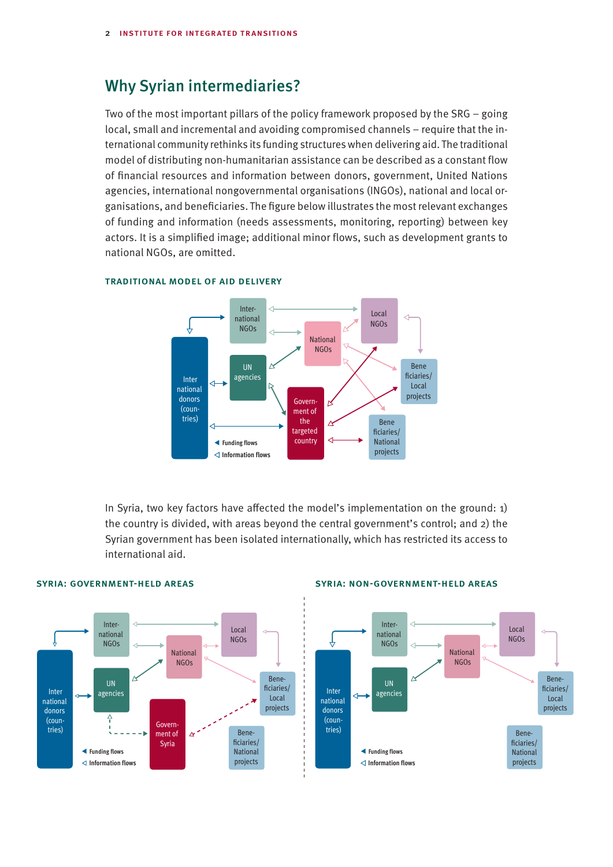## Why Syrian intermediaries?

Two of the most important pillars of the policy framework proposed by the SRG – going local, small and incremental and avoiding compromised channels – require that the international community rethinks its funding structures when delivering aid. The traditional model of distributing non-humanitarian assistance can be described as a constant flow of financial resources and information between donors, government, United Nations agencies, international nongovernmental organisations (INGOs), national and local organisations, and beneficiaries. The figure below illustrates the most relevant exchanges of funding and information (needs assessments, monitoring, reporting) between key actors. It is a simplified image; additional minor flows, such as development grants to national NGOs, are omitted.



#### TRADITIONAL MODEL OF AID DELIVERY

In Syria, two key factors have affected the model's implementation on the ground: 1) the country is divided, with areas beyond the central government's control; and 2) the Syrian government has been isolated internationally, which has restricted its access to international aid.



#### syria: government-held areas syria: non-government-held areas syria: non-government-held areas

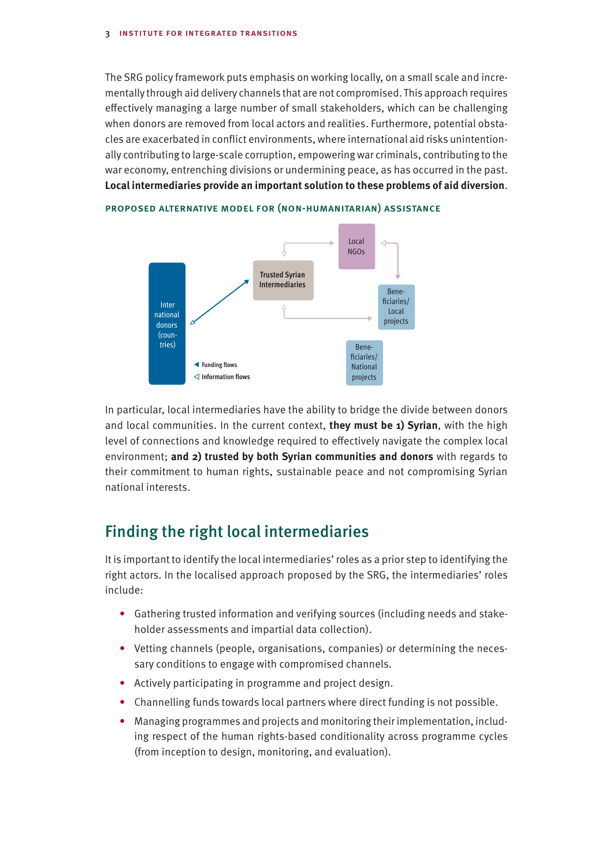The SRG policy framework puts emphasis on working locally, on a small scale and incrementally through aid delivery channels that are not compromised. This approach requires effectively managing a large number of small stakeholders, which can be challenging when donors are removed from local actors and realities. Furthermore, potential obstacles are exacerbated in conflict environments, where international aid risks unintentionally contributing to large-scale corruption, empowering war criminals, contributing to the war economy, entrenching divisions or undermining peace, as has occurred in the past. **Local intermediaries provide an important solution to these problems of aid diversion**.



proposed alternative model for (non-humanitarian) assistance proposed alternative model for (non-humanitarian) assistance

In particular, local intermediaries have the ability to bridge the divide between donors and local communities. In the current context, **they must be 1) Syrian**, with the high level of connections and knowledge required to effectively navigate the complex local environment; **and 2) trusted by both Syrian communities and donors** with regards to their commitment to human rights, sustainable peace and not compromising Syrian national interests.

## Finding the right local intermediaries

It is important to identify the local intermediaries' roles as a prior step to identifying the right actors. In the localised approach proposed by the SRG, the intermediaries' roles include:

- **•** Gathering trusted information and verifying sources (including needs and stakeholder assessments and impartial data collection).
- **•** Vetting channels (people, organisations, companies) or determining the necessary conditions to engage with compromised channels.
- **•** Actively participating in programme and project design.
- **•** Channelling funds towards local partners where direct funding is not possible.
- **•** Managing programmes and projects and monitoring their implementation, including respect of the human rights-based conditionality across programme cycles (from inception to design, monitoring, and evaluation).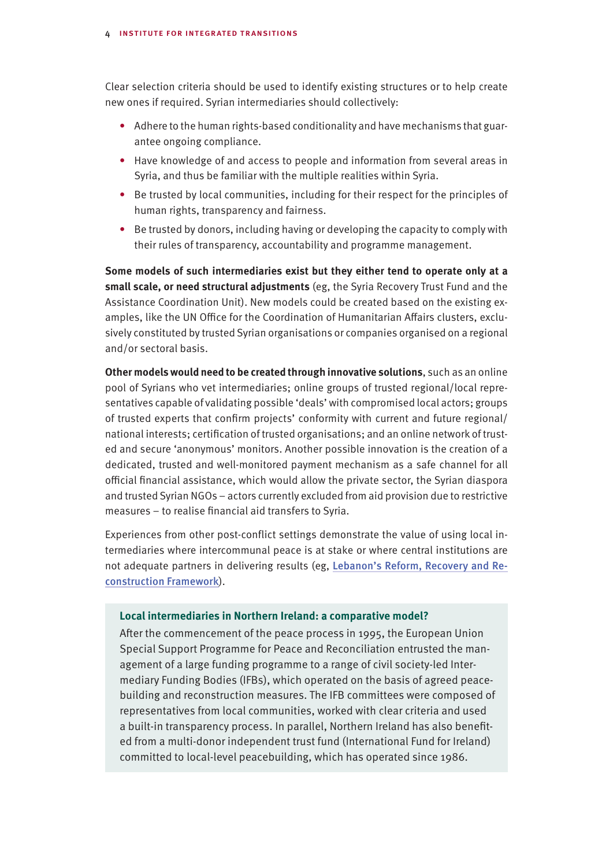Clear selection criteria should be used to identify existing structures or to help create new ones if required. Syrian intermediaries should collectively:

- **•** Adhere to the human rights-based conditionality and have mechanisms that guarantee ongoing compliance.
- **•** Have knowledge of and access to people and information from several areas in Syria, and thus be familiar with the multiple realities within Syria.
- **•** Be trusted by local communities, including for their respect for the principles of human rights, transparency and fairness.
- **•** Be trusted by donors, including having or developing the capacity to comply with their rules of transparency, accountability and programme management.

**Some models of such intermediaries exist but they either tend to operate only at a small scale, or need structural adjustments** (eg, the Syria Recovery Trust Fund and the Assistance Coordination Unit). New models could be created based on the existing examples, like the UN Office for the Coordination of Humanitarian Affairs clusters, exclusively constituted by trusted Syrian organisations or companies organised on a regional and/or sectoral basis.

**Other models would need to be created through innovative solutions**, such as an online pool of Syrians who vet intermediaries; online groups of trusted regional/local representatives capable of validating possible 'deals' with compromised local actors; groups of trusted experts that confirm projects' conformity with current and future regional/ national interests; certification of trusted organisations; and an online network of trusted and secure 'anonymous' monitors. Another possible innovation is the creation of a dedicated, trusted and well-monitored payment mechanism as a safe channel for all official financial assistance, which would allow the private sector, the Syrian diaspora and trusted Syrian NGOs – actors currently excluded from aid provision due to restrictive measures – to realise financial aid transfers to Syria.

Experiences from other post-conflict settings demonstrate the value of using local intermediaries where intercommunal peace is at stake or where central institutions are not adequate partners in delivering results (eg, [Lebanon's Reform, Recovery and Re](https://www.worldbank.org/en/country/lebanon/publication/lebanon-reform-recovery-reconstruction-framework-3rf)[construction Framework](https://www.worldbank.org/en/country/lebanon/publication/lebanon-reform-recovery-reconstruction-framework-3rf)).

#### **Local intermediaries in Northern Ireland: a comparative model?**

After the commencement of the peace process in 1995, the European Union Special Support Programme for Peace and Reconciliation entrusted the management of a large funding programme to a range of civil society-led Intermediary Funding Bodies (IFBs), which operated on the basis of agreed peacebuilding and reconstruction measures. The IFB committees were composed of representatives from local communities, worked with clear criteria and used a built-in transparency process. In parallel, Northern Ireland has also benefited from a multi-donor independent trust fund (International Fund for Ireland) committed to local-level peacebuilding, which has operated since 1986.